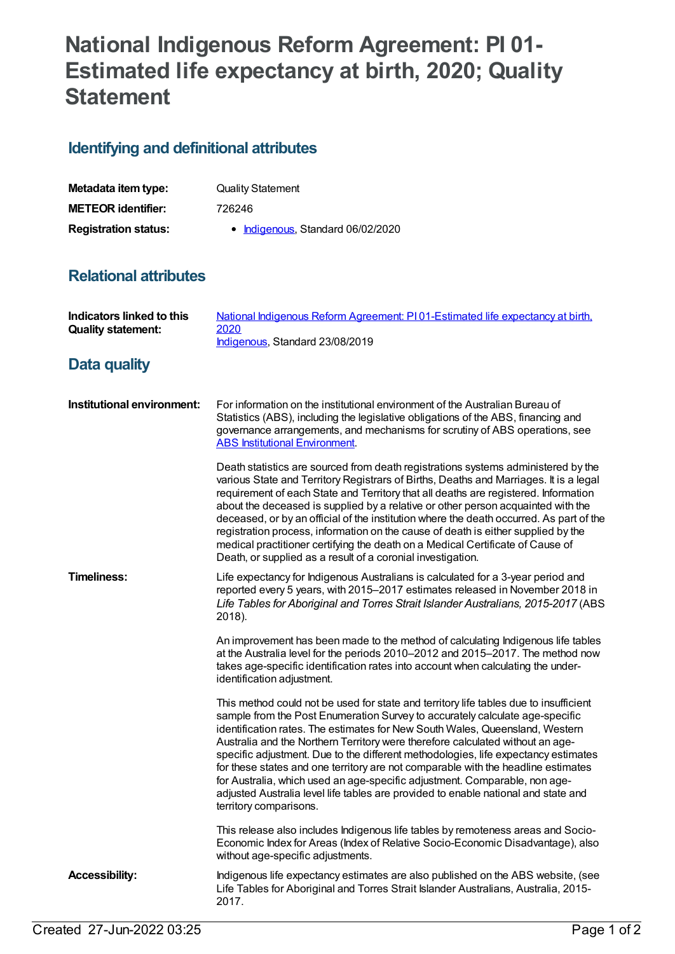# **National Indigenous Reform Agreement: PI 01- Estimated life expectancy at birth, 2020; Quality Statement**

## **Identifying and definitional attributes**

| Metadata item type:         | <b>Quality Statement</b>          |
|-----------------------------|-----------------------------------|
| <b>METEOR identifier:</b>   | 726246                            |
| <b>Registration status:</b> | • Indigenous, Standard 06/02/2020 |

#### **Relational attributes**

| Indicators linked to this<br><b>Quality statement:</b> | National Indigenous Reform Agreement: PI01-Estimated life expectancy at birth,<br>2020<br>Indigenous, Standard 23/08/2019                                                                                                                                                                                                                                                                                                                                                                                                                                                                                                                                                                                        |
|--------------------------------------------------------|------------------------------------------------------------------------------------------------------------------------------------------------------------------------------------------------------------------------------------------------------------------------------------------------------------------------------------------------------------------------------------------------------------------------------------------------------------------------------------------------------------------------------------------------------------------------------------------------------------------------------------------------------------------------------------------------------------------|
| Data quality                                           |                                                                                                                                                                                                                                                                                                                                                                                                                                                                                                                                                                                                                                                                                                                  |
| Institutional environment:                             | For information on the institutional environment of the Australian Bureau of<br>Statistics (ABS), including the legislative obligations of the ABS, financing and<br>governance arrangements, and mechanisms for scrutiny of ABS operations, see<br><b>ABS Institutional Environment.</b>                                                                                                                                                                                                                                                                                                                                                                                                                        |
|                                                        | Death statistics are sourced from death registrations systems administered by the<br>various State and Territory Registrars of Births, Deaths and Marriages. It is a legal<br>requirement of each State and Territory that all deaths are registered. Information<br>about the deceased is supplied by a relative or other person acquainted with the<br>deceased, or by an official of the institution where the death occurred. As part of the<br>registration process, information on the cause of death is either supplied by the<br>medical practitioner certifying the death on a Medical Certificate of Cause of<br>Death, or supplied as a result of a coronial investigation.                           |
| <b>Timeliness:</b>                                     | Life expectancy for Indigenous Australians is calculated for a 3-year period and<br>reported every 5 years, with 2015-2017 estimates released in November 2018 in<br>Life Tables for Aboriginal and Torres Strait Islander Australians, 2015-2017 (ABS<br>2018).                                                                                                                                                                                                                                                                                                                                                                                                                                                 |
|                                                        | An improvement has been made to the method of calculating Indigenous life tables<br>at the Australia level for the periods 2010-2012 and 2015-2017. The method now<br>takes age-specific identification rates into account when calculating the under-<br>identification adjustment.                                                                                                                                                                                                                                                                                                                                                                                                                             |
|                                                        | This method could not be used for state and territory life tables due to insufficient<br>sample from the Post Enumeration Survey to accurately calculate age-specific<br>identification rates. The estimates for New South Wales, Queensland, Western<br>Australia and the Northern Territory were therefore calculated without an age-<br>specific adjustment. Due to the different methodologies, life expectancy estimates<br>for these states and one territory are not comparable with the headline estimates<br>for Australia, which used an age-specific adjustment. Comparable, non age-<br>adjusted Australia level life tables are provided to enable national and state and<br>territory comparisons. |
|                                                        | This release also includes Indigenous life tables by remoteness areas and Socio-<br>Economic Index for Areas (Index of Relative Socio-Economic Disadvantage), also<br>without age-specific adjustments.                                                                                                                                                                                                                                                                                                                                                                                                                                                                                                          |
| <b>Accessibility:</b>                                  | Indigenous life expectancy estimates are also published on the ABS website, (see<br>Life Tables for Aboriginal and Torres Strait Islander Australians, Australia, 2015-<br>2017.                                                                                                                                                                                                                                                                                                                                                                                                                                                                                                                                 |